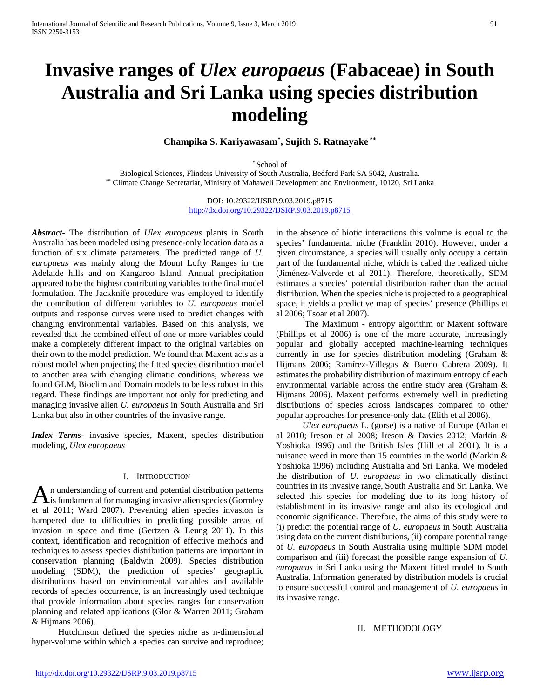# **Invasive ranges of** *Ulex europaeus* **(Fabaceae) in South Australia and Sri Lanka using species distribution modeling**

**Champika S. Kariyawasam\* , Sujith S. Ratnayake \*\***

\* School of Biological Sciences, Flinders University of South Australia, Bedford Park SA 5042, Australia. \*\* Climate Change Secretariat, Ministry of Mahaweli Development and Environment, 10120, Sri Lanka

> DOI: 10.29322/IJSRP.9.03.2019.p8715 <http://dx.doi.org/10.29322/IJSRP.9.03.2019.p8715>

*Abstract***-** The distribution of *Ulex europaeus* plants in South Australia has been modeled using presence-only location data as a function of six climate parameters. The predicted range of *U. europaeus* was mainly along the Mount Lofty Ranges in the Adelaide hills and on Kangaroo Island. Annual precipitation appeared to be the highest contributing variables to the final model formulation. The Jackknife procedure was employed to identify the contribution of different variables to *U. europaeus* model outputs and response curves were used to predict changes with changing environmental variables. Based on this analysis, we revealed that the combined effect of one or more variables could make a completely different impact to the original variables on their own to the model prediction. We found that Maxent acts as a robust model when projecting the fitted species distribution model to another area with changing climatic conditions, whereas we found GLM, Bioclim and Domain models to be less robust in this regard. These findings are important not only for predicting and managing invasive alien *U. europaeus* in South Australia and Sri Lanka but also in other countries of the invasive range.

*Index Terms*- invasive species, Maxent, species distribution modeling, *Ulex europaeus* 

#### I. INTRODUCTION

n understanding of current and potential distribution patterns An understanding of current and potential distribution patterns<br>is fundamental for managing invasive alien species (Gormley et al 2011; Ward 2007). Preventing alien species invasion is hampered due to difficulties in predicting possible areas of invasion in space and time (Gertzen & Leung 2011). In this context, identification and recognition of effective methods and techniques to assess species distribution patterns are important in conservation planning (Baldwin 2009). Species distribution modeling (SDM), the prediction of species' geographic distributions based on environmental variables and available records of species occurrence, is an increasingly used technique that provide information about species ranges for conservation planning and related applications (Glor & Warren 2011; Graham & Hijmans 2006).

 Hutchinson defined the species niche as n-dimensional hyper-volume within which a species can survive and reproduce; in the absence of biotic interactions this volume is equal to the species' fundamental niche (Franklin 2010). However, under a given circumstance, a species will usually only occupy a certain part of the fundamental niche, which is called the realized niche (Jiménez-Valverde et al 2011). Therefore, theoretically, SDM estimates a species' potential distribution rather than the actual distribution. When the species niche is projected to a geographical space, it yields a predictive map of species' presence (Phillips et al 2006; Tsoar et al 2007).

 The Maximum - entropy algorithm or Maxent software (Phillips et al 2006) is one of the more accurate, increasingly popular and globally accepted machine-learning techniques currently in use for species distribution modeling (Graham & Hijmans 2006; Ramírez-Villegas & Bueno Cabrera 2009). It estimates the probability distribution of maximum entropy of each environmental variable across the entire study area (Graham & Hijmans 2006). Maxent performs extremely well in predicting distributions of species across landscapes compared to other popular approaches for presence-only data (Elith et al 2006).

 *Ulex europaeus* L. (gorse) is a native of Europe (Atlan et al 2010; Ireson et al 2008; Ireson & Davies 2012; Markin & Yoshioka 1996) and the British Isles (Hill et al 2001). It is a nuisance weed in more than 15 countries in the world (Markin & Yoshioka 1996) including Australia and Sri Lanka. We modeled the distribution of *U. europaeus* in two climatically distinct countries in its invasive range, South Australia and Sri Lanka. We selected this species for modeling due to its long history of establishment in its invasive range and also its ecological and economic significance. Therefore, the aims of this study were to (i) predict the potential range of *U. europaeus* in South Australia using data on the current distributions, (ii) compare potential range of *U. europaeus* in South Australia using multiple SDM model comparison and (iii) forecast the possible range expansion of *U. europaeus* in Sri Lanka using the Maxent fitted model to South Australia. Information generated by distribution models is crucial to ensure successful control and management of *U. europaeus* in its invasive range.

## II. METHODOLOGY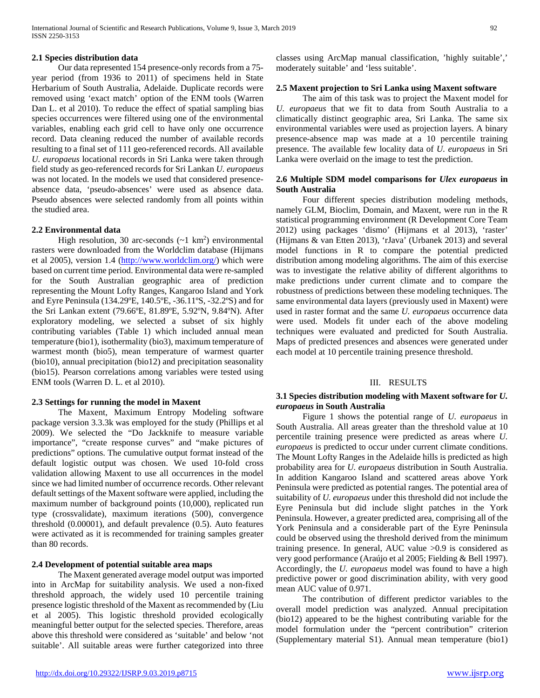# **2.1 Species distribution data**

 Our data represented 154 presence-only records from a 75 year period (from 1936 to 2011) of specimens held in State Herbarium of South Australia, Adelaide. Duplicate records were removed using 'exact match' option of the ENM tools (Warren Dan L. et al 2010). To reduce the effect of spatial sampling bias species occurrences were filtered using one of the environmental variables, enabling each grid cell to have only one occurrence record. Data cleaning reduced the number of available records resulting to a final set of 111 geo-referenced records. All available *U. europaeus* locational records in Sri Lanka were taken through field study as geo-referenced records for Sri Lankan *U. europaeus* was not located. In the models we used that considered presenceabsence data, 'pseudo-absences' were used as absence data. Pseudo absences were selected randomly from all points within the studied area.

## **2.2 Environmental data**

High resolution, 30 arc-seconds  $(\sim 1 \text{ km}^2)$  environmental rasters were downloaded from the Worldclim database (Hijmans et al 2005), version 1.4 [\(http://www.worldclim.org/\)](http://www.worldclim.org/) which were based on current time period. Environmental data were re-sampled for the South Australian geographic area of prediction representing the Mount Lofty Ranges, Kangaroo Island and York and Eyre Peninsula (134.29ºE, 140.5ºE, -36.11ºS, -32.2ºS) and for the Sri Lankan extent (79.66ºE, 81.89ºE, 5.92ºN, 9.84ºN). After exploratory modeling, we selected a subset of six highly contributing variables (Table 1) which included annual mean temperature (bio1), isothermality (bio3), maximum temperature of warmest month (bio5), mean temperature of warmest quarter (bio10), annual precipitation (bio12) and precipitation seasonality (bio15). Pearson correlations among variables were tested using ENM tools (Warren D. L. et al 2010).

# **2.3 Settings for running the model in Maxent**

 The Maxent, Maximum Entropy Modeling software package version 3.3.3k was employed for the study (Phillips et al 2009). We selected the "Do Jackknife to measure variable importance", "create response curves" and "make pictures of predictions" options. The cumulative output format instead of the default logistic output was chosen. We used 10-fold cross validation allowing Maxent to use all occurrences in the model since we had limited number of occurrence records. Other relevant default settings of the Maxent software were applied, including the maximum number of background points (10,000), replicated run type (crossvalidate), maximum iterations (500), convergence threshold (0.00001), and default prevalence (0.5). Auto features were activated as it is recommended for training samples greater than 80 records.

# **2.4 Development of potential suitable area maps**

 The Maxent generated average model output was imported into in ArcMap for suitability analysis. We used a non-fixed threshold approach, the widely used 10 percentile training presence logistic threshold of the Maxent as recommended by (Liu et al 2005). This logistic threshold provided ecologically meaningful better output for the selected species. Therefore, areas above this threshold were considered as 'suitable' and below 'not suitable'. All suitable areas were further categorized into three

classes using ArcMap manual classification, 'highly suitable',' moderately suitable' and 'less suitable'.

#### **2.5 Maxent projection to Sri Lanka using Maxent software**

 The aim of this task was to project the Maxent model for *U. europaeus* that we fit to data from South Australia to a climatically distinct geographic area, Sri Lanka. The same six environmental variables were used as projection layers. A binary presence-absence map was made at a 10 percentile training presence. The available few locality data of *U. europaeus* in Sri Lanka were overlaid on the image to test the prediction.

# **2.6 Multiple SDM model comparisons for** *Ulex europaeus* **in South Australia**

 Four different species distribution modeling methods, namely GLM, Bioclim, Domain, and Maxent, were run in the R statistical programming environment (R Development Core Team 2012) using packages 'dismo' (Hijmans et al 2013), 'raster' (Hijmans & van Etten 2013), 'rJava' (Urbanek 2013) and several model functions in R to compare the potential predicted distribution among modeling algorithms. The aim of this exercise was to investigate the relative ability of different algorithms to make predictions under current climate and to compare the robustness of predictions between these modeling techniques. The same environmental data layers (previously used in Maxent) were used in raster format and the same *U. europaeus* occurrence data were used. Models fit under each of the above modeling techniques were evaluated and predicted for South Australia. Maps of predicted presences and absences were generated under each model at 10 percentile training presence threshold.

# III. RESULTS

## **3.1 Species distribution modeling with Maxent software for** *U. europaeus* **in South Australia**

 Figure 1 shows the potential range of *U. europaeus* in South Australia. All areas greater than the threshold value at 10 percentile training presence were predicted as areas where *U. europaeus* is predicted to occur under current climate conditions. The Mount Lofty Ranges in the Adelaide hills is predicted as high probability area for *U. europaeus* distribution in South Australia. In addition Kangaroo Island and scattered areas above York Peninsula were predicted as potential ranges. The potential area of suitability of *U. europaeus* under this threshold did not include the Eyre Peninsula but did include slight patches in the York Peninsula. However, a greater predicted area, comprising all of the York Peninsula and a considerable part of the Eyre Peninsula could be observed using the threshold derived from the minimum training presence. In general, AUC value >0.9 is considered as very good performance (Araújo et al 2005; Fielding & Bell 1997). Accordingly, the *U. europaeus* model was found to have a high predictive power or good discrimination ability, with very good mean AUC value of 0.971.

 The contribution of different predictor variables to the overall model prediction was analyzed. Annual precipitation (bio12) appeared to be the highest contributing variable for the model formulation under the "percent contribution" criterion (Supplementary material S1). Annual mean temperature (bio1)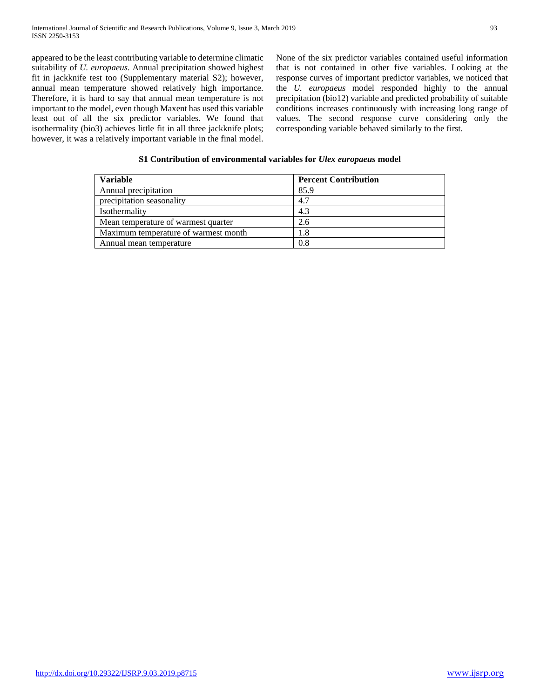appeared to be the least contributing variable to determine climatic suitability of *U. europaeus*. Annual precipitation showed highest fit in jackknife test too (Supplementary material S2); however, annual mean temperature showed relatively high importance. Therefore, it is hard to say that annual mean temperature is not important to the model, even though Maxent has used this variable least out of all the six predictor variables. We found that isothermality (bio3) achieves little fit in all three jackknife plots; however, it was a relatively important variable in the final model. None of the six predictor variables contained useful information that is not contained in other five variables. Looking at the response curves of important predictor variables, we noticed that the *U. europaeus* model responded highly to the annual precipitation (bio12) variable and predicted probability of suitable conditions increases continuously with increasing long range of values. The second response curve considering only the corresponding variable behaved similarly to the first.

# **S1 Contribution of environmental variables for** *Ulex europaeus* **model**

| Variable                             | <b>Percent Contribution</b> |
|--------------------------------------|-----------------------------|
| Annual precipitation                 | 85.9                        |
| precipitation seasonality            | 4.7                         |
| Isothermality                        | 4.3                         |
| Mean temperature of warmest quarter  | 2.6                         |
| Maximum temperature of warmest month | 1.8                         |
| Annual mean temperature              | 0.8                         |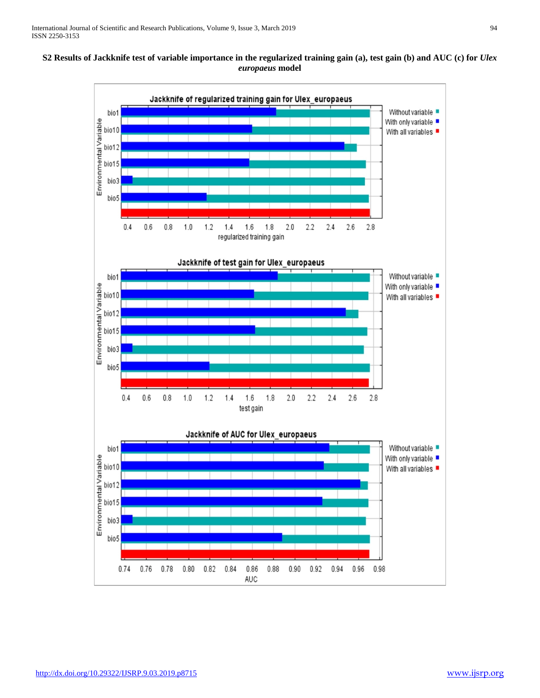# **S2 Results of Jackknife test of variable importance in the regularized training gain (a), test gain (b) and AUC (c) for** *Ulex europaeus* **model**

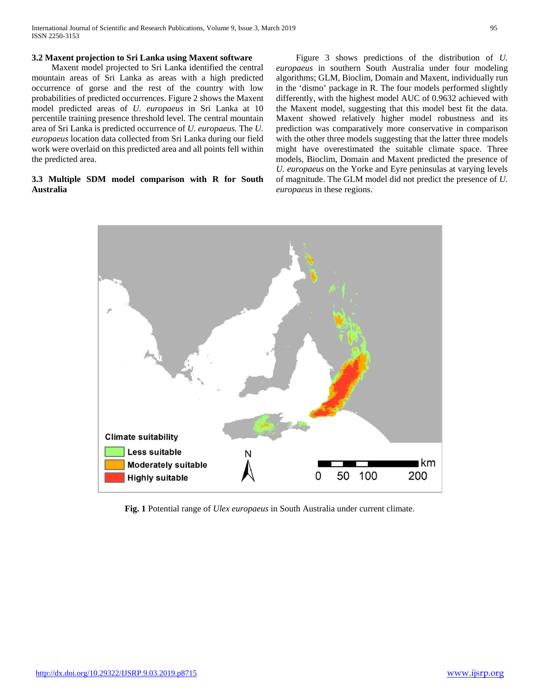International Journal of Scientific and Research Publications, Volume 9, Issue 3, March 2019 95 ISSN 2250-3153

## **3.2 Maxent projection to Sri Lanka using Maxent software**

 Maxent model projected to Sri Lanka identified the central mountain areas of Sri Lanka as areas with a high predicted occurrence of gorse and the rest of the country with low probabilities of predicted occurrences. Figure 2 shows the Maxent model predicted areas of *U. europaeus* in Sri Lanka at 10 percentile training presence threshold level. The central mountain area of Sri Lanka is predicted occurrence of *U. europaeus.* The *U. europaeus* location data collected from Sri Lanka during our field work were overlaid on this predicted area and all points fell within the predicted area.

# **3.3 Multiple SDM model comparison with R for South Australia**

 Figure 3 shows predictions of the distribution of *U. europaeus* in southern South Australia under four modeling algorithms; GLM, Bioclim, Domain and Maxent, individually run in the 'dismo' package in R. The four models performed slightly differently, with the highest model AUC of 0.9632 achieved with the Maxent model, suggesting that this model best fit the data. Maxent showed relatively higher model robustness and its prediction was comparatively more conservative in comparison with the other three models suggesting that the latter three models might have overestimated the suitable climate space. Three models, Bioclim, Domain and Maxent predicted the presence of *U. europaeus* on the Yorke and Eyre peninsulas at varying levels of magnitude. The GLM model did not predict the presence of *U. europaeus* in these regions.



**Fig. 1** Potential range of *Ulex europaeus* in South Australia under current climate.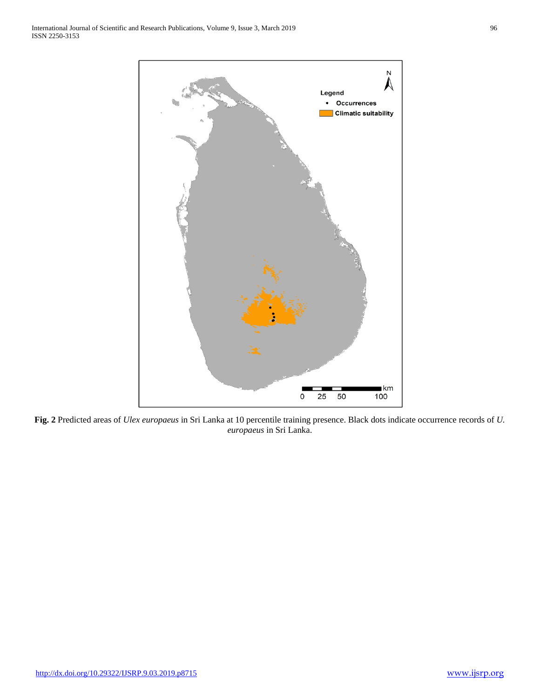

**Fig. 2** Predicted areas of *Ulex europaeus* in Sri Lanka at 10 percentile training presence. Black dots indicate occurrence records of *U. europaeus* in Sri Lanka.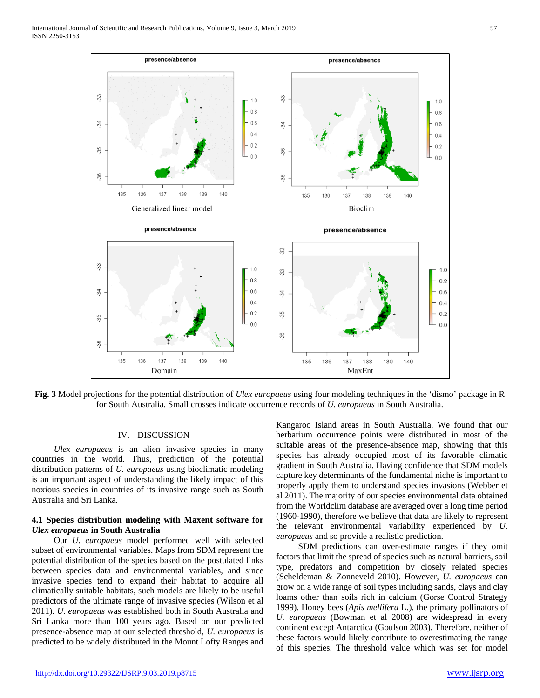

**Fig. 3** Model projections for the potential distribution of *Ulex europaeus* using four modeling techniques in the 'dismo' package in R for South Australia. Small crosses indicate occurrence records of *U. europaeus* in South Australia.

# IV. DISCUSSION

 *Ulex europaeus* is an alien invasive species in many countries in the world. Thus, prediction of the potential distribution patterns of *U. europaeus* using bioclimatic modeling is an important aspect of understanding the likely impact of this noxious species in countries of its invasive range such as South Australia and Sri Lanka.

# **4.1 Species distribution modeling with Maxent software for**  *Ulex europaeus* **in South Australia**

Our *U. europaeus* model performed well with selected subset of environmental variables. Maps from SDM represent the potential distribution of the species based on the postulated links between species data and environmental variables, and since invasive species tend to expand their habitat to acquire all climatically suitable habitats, such models are likely to be useful predictors of the ultimate range of invasive species (Wilson et al 2011). *U. europaeus* was established both in South Australia and Sri Lanka more than 100 years ago. Based on our predicted presence-absence map at our selected threshold, *U. europaeus* is predicted to be widely distributed in the Mount Lofty Ranges and

Kangaroo Island areas in South Australia. We found that our herbarium occurrence points were distributed in most of the suitable areas of the presence-absence map, showing that this species has already occupied most of its favorable climatic gradient in South Australia. Having confidence that SDM models capture key determinants of the fundamental niche is important to properly apply them to understand species invasions (Webber et al 2011). The majority of our species environmental data obtained from the Worldclim database are averaged over a long time period (1960-1990), therefore we believe that data are likely to represent the relevant environmental variability experienced by *U. europaeus* and so provide a realistic prediction.

SDM predictions can over-estimate ranges if they omit factors that limit the spread of species such as natural barriers, soil type, predators and competition by closely related species (Scheldeman & Zonneveld 2010). However, *U. europaeus* can grow on a wide range of soil types including sands, clays and clay loams other than soils rich in calcium (Gorse Control Strategy 1999). Honey bees (*Apis mellifera* L.), the primary pollinators of *U. europaeus* (Bowman et al 2008) are widespread in every continent except Antarctica (Goulson 2003). Therefore, neither of these factors would likely contribute to overestimating the range of this species. The threshold value which was set for model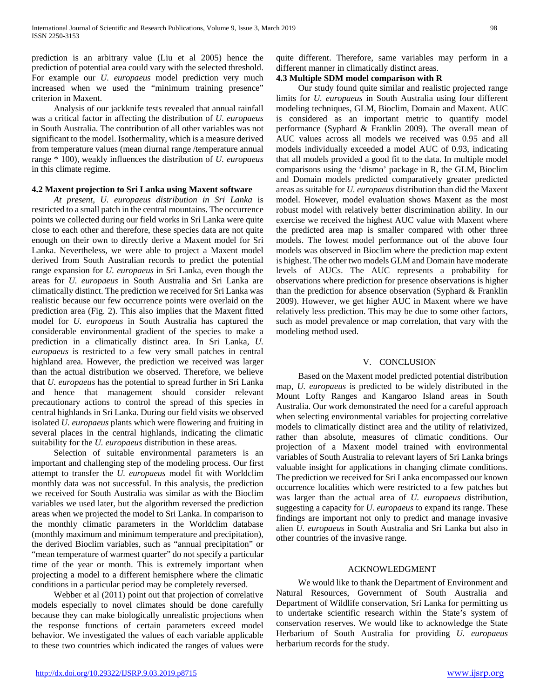prediction is an arbitrary value (Liu et al 2005) hence the prediction of potential area could vary with the selected threshold. For example our *U. europaeus* model prediction very much increased when we used the "minimum training presence" criterion in Maxent.

Analysis of our jackknife tests revealed that annual rainfall was a critical factor in affecting the distribution of *U. europaeus* in South Australia. The contribution of all other variables was not significant to the model. Isothermality, which is a measure derived from temperature values (mean diurnal range /temperature annual range \* 100), weakly influences the distribution of *U. europaeus* in this climate regime.

## **4.2 Maxent projection to Sri Lanka using Maxent software**

 *At present, U. europaeus distribution in Sri Lanka* is restricted to a small patch in the central mountains. The occurrence points we collected during our field works in Sri Lanka were quite close to each other and therefore, these species data are not quite enough on their own to directly derive a Maxent model for Sri Lanka. Nevertheless, we were able to project a Maxent model derived from South Australian records to predict the potential range expansion for *U. europaeus* in Sri Lanka, even though the areas for *U. europaeus* in South Australia and Sri Lanka are climatically distinct. The prediction we received for Sri Lanka was realistic because our few occurrence points were overlaid on the prediction area (Fig. 2). This also implies that the Maxent fitted model for *U. europaeus* in South Australia has captured the considerable environmental gradient of the species to make a prediction in a climatically distinct area. In Sri Lanka, *U. europaeus* is restricted to a few very small patches in central highland area. However, the prediction we received was larger than the actual distribution we observed. Therefore, we believe that *U. europaeus* has the potential to spread further in Sri Lanka and hence that management should consider relevant precautionary actions to control the spread of this species in central highlands in Sri Lanka. During our field visits we observed isolated *U. europaeus* plants which were flowering and fruiting in several places in the central highlands, indicating the climatic suitability for the *U. europaeus* distribution in these areas.

Selection of suitable environmental parameters is an important and challenging step of the modeling process. Our first attempt to transfer the *U. europaeus* model fit with Worldclim monthly data was not successful. In this analysis, the prediction we received for South Australia was similar as with the Bioclim variables we used later, but the algorithm reversed the prediction areas when we projected the model to Sri Lanka. In comparison to the monthly climatic parameters in the Worldclim database (monthly maximum and minimum temperature and precipitation), the derived Bioclim variables, such as "annual precipitation" or "mean temperature of warmest quarter" do not specify a particular time of the year or month. This is extremely important when projecting a model to a different hemisphere where the climatic conditions in a particular period may be completely reversed.

Webber et al (2011) point out that projection of correlative models especially to novel climates should be done carefully because they can make biologically unrealistic projections when the response functions of certain parameters exceed model behavior. We investigated the values of each variable applicable to these two countries which indicated the ranges of values were

quite different. Therefore, same variables may perform in a different manner in climatically distinct areas.

# **4.3 Multiple SDM model comparison with R**

Our study found quite similar and realistic projected range limits for *U. europaeus* in South Australia using four different modeling techniques, GLM, Bioclim, Domain and Maxent. AUC is considered as an important metric to quantify model performance (Syphard & Franklin 2009). The overall mean of AUC values across all models we received was 0.95 and all models individually exceeded a model AUC of 0.93, indicating that all models provided a good fit to the data. In multiple model comparisons using the 'dismo' package in R, the GLM, Bioclim and Domain models predicted comparatively greater predicted areas as suitable for *U. europaeus* distribution than did the Maxent model. However, model evaluation shows Maxent as the most robust model with relatively better discrimination ability. In our exercise we received the highest AUC value with Maxent where the predicted area map is smaller compared with other three models. The lowest model performance out of the above four models was observed in Bioclim where the prediction map extent is highest. The other two models GLM and Domain have moderate levels of AUCs. The AUC represents a probability for observations where prediction for presence observations is higher than the prediction for absence observation (Syphard & Franklin 2009). However, we get higher AUC in Maxent where we have relatively less prediction. This may be due to some other factors, such as model prevalence or map correlation, that vary with the modeling method used.

# V. CONCLUSION

Based on the Maxent model predicted potential distribution map, *U. europaeus* is predicted to be widely distributed in the Mount Lofty Ranges and Kangaroo Island areas in South Australia. Our work demonstrated the need for a careful approach when selecting environmental variables for projecting correlative models to climatically distinct area and the utility of relativized, rather than absolute, measures of climatic conditions. Our projection of a Maxent model trained with environmental variables of South Australia to relevant layers of Sri Lanka brings valuable insight for applications in changing climate conditions. The prediction we received for Sri Lanka encompassed our known occurrence localities which were restricted to a few patches but was larger than the actual area of *U. europaeus* distribution, suggesting a capacity for *U. europaeus* to expand its range. These findings are important not only to predict and manage invasive alien *U. europaeus* in South Australia and Sri Lanka but also in other countries of the invasive range.

## ACKNOWLEDGMENT

We would like to thank the Department of Environment and Natural Resources, Government of South Australia and Department of Wildlife conservation, Sri Lanka for permitting us to undertake scientific research within the State's system of conservation reserves. We would like to acknowledge the State Herbarium of South Australia for providing *U. europaeus* herbarium records for the study.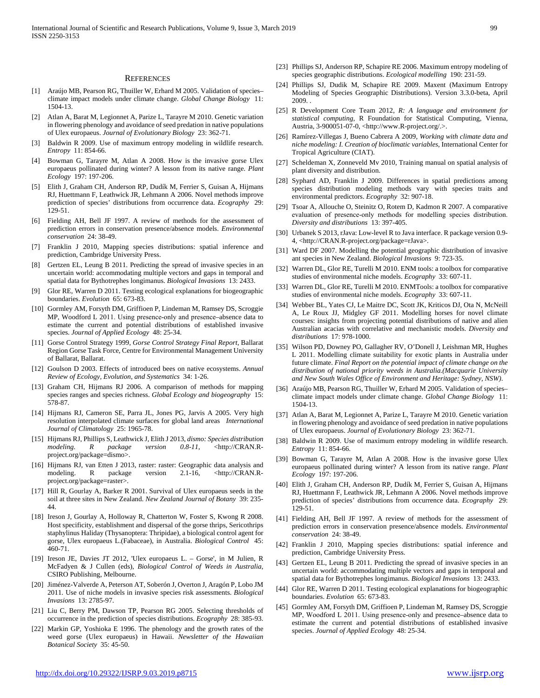#### **REFERENCES**

- [1] Araújo MB, Pearson RG, Thuiller W, Erhard M 2005. Validation of species– climate impact models under climate change. *Global Change Biology* 11: 1504-13.
- [2] Atlan A, Barat M, Legionnet A, Parize L, Tarayre M 2010. Genetic variation in flowering phenology and avoidance of seed predation in native populations of Ulex europaeus. *Journal of Evolutionary Biology* 23: 362-71.
- [3] Baldwin R 2009. Use of maximum entropy modeling in wildlife research. *Entropy* 11: 854-66.
- [4] Bowman G, Tarayre M, Atlan A 2008. How is the invasive gorse Ulex europaeus pollinated during winter? A lesson from its native range. *Plant Ecology* 197: 197-206.
- [5] Elith J, Graham CH, Anderson RP, Dudík M, Ferrier S, Guisan A, Hijmans RJ, Huettmann F, Leathwick JR, Lehmann A 2006. Novel methods improve prediction of species' distributions from occurrence data. *Ecography* 29: 129-51.
- [6] Fielding AH, Bell JF 1997. A review of methods for the assessment of prediction errors in conservation presence/absence models. *Environmental conservation* 24: 38-49.
- [7] Franklin J 2010, Mapping species distributions: spatial inference and prediction, Cambridge University Press.
- Gertzen EL, Leung B 2011. Predicting the spread of invasive species in an uncertain world: accommodating multiple vectors and gaps in temporal and spatial data for Bythotrephes longimanus. *Biological Invasions* 13: 2433.
- [9] Glor RE, Warren D 2011. Testing ecological explanations for biogeographic boundaries. *Evolution* 65: 673-83.
- [10] Gormley AM, Forsyth DM, Griffioen P, Lindeman M, Ramsey DS, Scroggie MP, Woodford L 2011. Using presence‐only and presence–absence data to estimate the current and potential distributions of established invasive species. *Journal of Applied Ecology* 48: 25-34.
- [11] Gorse Control Strategy 1999, *Gorse Control Strategy Final Report*, Ballarat Region Gorse Task Force, Centre for Environmental Management University of Ballarat, Ballarat.
- [12] Goulson D 2003. Effects of introduced bees on native ecosystems. *Annual Review of Ecology, Evolution, and Systematics* 34: 1-26.
- [13] Graham CH, Hijmans RJ 2006. A comparison of methods for mapping species ranges and species richness. *Global Ecology and biogeography* 15: 578-87.
- [14] Hijmans RJ, Cameron SE, Parra JL, Jones PG, Jarvis A 2005. Very high resolution interpolated climate surfaces for global land areas *International Journal of Climatology* 25: 1965-78.
- [15] Hijmans RJ, Phillips S, Leathwick J, Elith J 2013, *dismo: Species distribution modeling. R package version 0.8-11*, <http://CRAN.Rproject.org/package=dismo>.
- [16] Hijmans RJ, van Etten J 2013, raster: raster: Geographic data analysis and modeling. R package version 2.1-16, <http://CRAN.Rproject.org/package=raster>.
- [17] Hill R, Gourlay A, Barker R 2001. Survival of Ulex europaeus seeds in the soil at three sites in New Zealand. *New Zealand Journal of Botany* 39: 235- 44.
- [18] Ireson J, Gourlay A, Holloway R, Chatterton W, Foster S, Kwong R 2008. Host specificity, establishment and dispersal of the gorse thrips, Sericothrips staphylinus Haliday (Thysanoptera: Thripidae), a biological control agent for gorse, Ulex europaeus L.(Fabaceae), in Australia. *Biological Control* 45: 460-71.
- [19] Ireson JE, Davies JT 2012, 'Ulex europaeus L. Gorse', in M Julien, R McFadyen & J Cullen (eds), *Biological Control of Weeds in Australia*, CSIRO Publishing, Melbourne.
- [20] Jiménez-Valverde A, Peterson AT, Soberón J, Overton J, Aragón P, Lobo JM 2011. Use of niche models in invasive species risk assessments. *Biological Invasions* 13: 2785-97.
- [21] Liu C, Berry PM, Dawson TP, Pearson RG 2005. Selecting thresholds of occurrence in the prediction of species distributions. *Ecography* 28: 385-93.
- [22] Markin GP, Yoshioka E 1996. The phenology and the growth rates of the weed gorse (Ulex europaeus) in Hawaii. *Newsletter of the Hawaiian Botanical Society* 35: 45-50.
- [23] Phillips SJ, Anderson RP, Schapire RE 2006. Maximum entropy modeling of species geographic distributions. *Ecological modelling* 190: 231-59.
- [24] Phillips SJ, Dudik M, Schapire RE 2009. Maxent (Maximum Entropy Modeling of Species Geographic Distributions). Version 3.3.0-beta, April 2009. .
- [25] R Development Core Team 2012, *R: A language and environment for statistical computing*, R Foundation for Statistical Computing, Vienna, Austria, 3-900051-07-0, <http://www.R-project.org/.>.
- [26] Ramírez-Villegas J, Bueno Cabrera A 2009, *Working with climate data and niche modeling: I. Creation of bioclimatic variables*, International Center for Tropical Agriculture (CIAT).
- [27] Scheldeman X, Zonneveld Mv 2010, Training manual on spatial analysis of plant diversity and distribution.
- [28] Syphard AD, Franklin J 2009. Differences in spatial predictions among species distribution modeling methods vary with species traits and environmental predictors. *Ecography* 32: 907-18.
- [29] Tsoar A, Allouche O, Steinitz O, Rotem D, Kadmon R 2007. A comparative evaluation of presence-only methods for modelling species distribution. *Diversity and distributions* 13: 397-405.
- [30] Urbanek S 2013, rJava: Low-level R to Java interface. R package version 0.9- 4, <http://CRAN.R-project.org/package=rJava>.
- [31] Ward DF 2007. Modelling the potential geographic distribution of invasive ant species in New Zealand. *Biological Invasions* 9: 723-35.
- [32] Warren DL, Glor RE, Turelli M 2010. ENM tools: a toolbox for comparative studies of environmental niche models. *Ecography* 33: 607-11.
- [33] Warren DL, Glor RE, Turelli M 2010. ENMTools: a toolbox for comparative studies of environmental niche models. *Ecography* 33: 607-11.
- [34] Webber BL, Yates CJ, Le Maitre DC, Scott JK, Kriticos DJ, Ota N, McNeill A, Le Roux JJ, Midgley GF 2011. Modelling horses for novel climate courses: insights from projecting potential distributions of native and alien Australian acacias with correlative and mechanistic models. *Diversity and distributions* 17: 978-1000.
- [35] Wilson PD, Downey PO, Gallagher RV, O'Donell J, Leishman MR, Hughes L 2011. Modelling climate suitability for exotic plants in Australia under future climate. *Final Report on the potential impact of climate change on the distribution of national priority weeds in Australia.(Macquarie University and New South Wales Office of Environment and Heritage: Sydney, NSW)*.
- [36] Araújo MB, Pearson RG, Thuiller W, Erhard M 2005. Validation of speciesclimate impact models under climate change. *Global Change Biology* 11: 1504-13.
- [37] Atlan A, Barat M, Legionnet A, Parize L, Tarayre M 2010. Genetic variation in flowering phenology and avoidance of seed predation in native populations of Ulex europaeus. *Journal of Evolutionary Biology* 23: 362-71.
- [38] Baldwin R 2009. Use of maximum entropy modeling in wildlife research. *Entropy* 11: 854-66.
- [39] Bowman G, Tarayre M, Atlan A 2008. How is the invasive gorse Ulex europaeus pollinated during winter? A lesson from its native range. *Plant Ecology* 197: 197-206.
- [40] Elith J, Graham CH, Anderson RP, Dudík M, Ferrier S, Guisan A, Hijmans RJ, Huettmann F, Leathwick JR, Lehmann A 2006. Novel methods improve prediction of species' distributions from occurrence data. *Ecography* 29: 129-51.
- [41] Fielding AH, Bell JF 1997. A review of methods for the assessment of prediction errors in conservation presence/absence models. *Environmental conservation* 24: 38-49.
- [42] Franklin J 2010, Mapping species distributions: spatial inference and prediction, Cambridge University Press.
- [43] Gertzen EL, Leung B 2011. Predicting the spread of invasive species in an uncertain world: accommodating multiple vectors and gaps in temporal and spatial data for Bythotrephes longimanus. *Biological Invasions* 13: 2433.
- [44] Glor RE, Warren D 2011. Testing ecological explanations for biogeographic boundaries. *Evolution* 65: 673-83.
- [45] Gormley AM, Forsyth DM, Griffioen P, Lindeman M, Ramsey DS, Scroggie MP, Woodford L 2011. Using presence‐only and presence–absence data to estimate the current and potential distributions of established invasive species. *Journal of Applied Ecology* 48: 25-34.